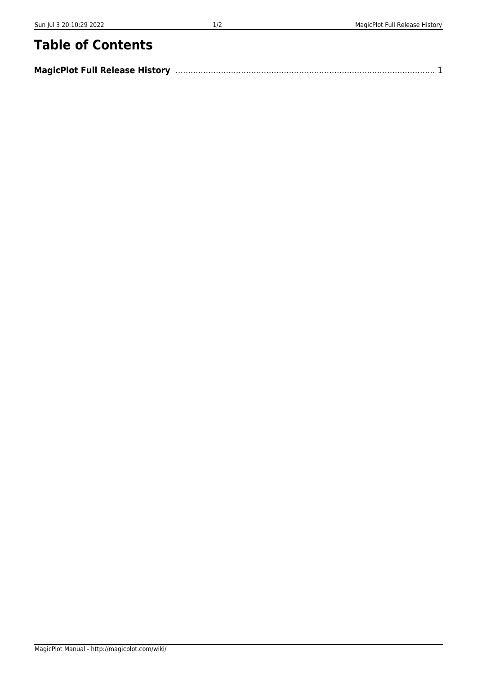# **Table of Contents**

| <b>MagicPlot Full Release History</b> |  |
|---------------------------------------|--|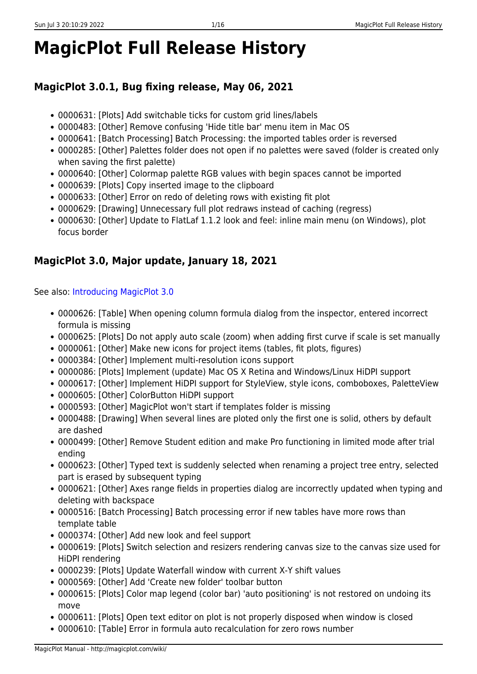# <span id="page-2-0"></span>**MagicPlot Full Release History**

# **MagicPlot 3.0.1, Bug fixing release, May 06, 2021**

- 0000631: [Plots] Add switchable ticks for custom grid lines/labels
- 0000483: [Other] Remove confusing 'Hide title bar' menu item in Mac OS
- 0000641: [Batch Processing] Batch Processing: the imported tables order is reversed
- 0000285: [Other] Palettes folder does not open if no palettes were saved (folder is created only when saving the first palette)
- 0000640: [Other] Colormap palette RGB values with begin spaces cannot be imported
- 0000639: [Plots] Copy inserted image to the clipboard
- 0000633: [Other] Error on redo of deleting rows with existing fit plot
- 0000629: [Drawing] Unnecessary full plot redraws instead of caching (regress)
- 0000630: [Other] Update to FlatLaf 1.1.2 look and feel: inline main menu (on Windows), plot focus border

# **MagicPlot 3.0, Major update, January 18, 2021**

See also: [Introducing MagicPlot 3.0](http://magicplot.com/wiki/release:3.0)

- 0000626: [Table] When opening column formula dialog from the inspector, entered incorrect formula is missing
- 0000625: [Plots] Do not apply auto scale (zoom) when adding first curve if scale is set manually
- 0000061: [Other] Make new icons for project items (tables, fit plots, figures)
- 0000384: [Other] Implement multi-resolution icons support
- 0000086: [Plots] Implement (update) Mac OS X Retina and Windows/Linux HiDPI support
- 0000617: [Other] Implement HiDPI support for StyleView, style icons, comboboxes, PaletteView
- 0000605: [Other] ColorButton HiDPI support
- 0000593: [Other] MagicPlot won't start if templates folder is missing
- 0000488: [Drawing] When several lines are ploted only the first one is solid, others by default are dashed
- 0000499: [Other] Remove Student edition and make Pro functioning in limited mode after trial ending
- 0000623: [Other] Typed text is suddenly selected when renaming a project tree entry, selected part is erased by subsequent typing
- 0000621: [Other] Axes range fields in properties dialog are incorrectly updated when typing and deleting with backspace
- 0000516: [Batch Processing] Batch processing error if new tables have more rows than template table
- 0000374: [Other] Add new look and feel support
- 0000619: [Plots] Switch selection and resizers rendering canvas size to the canvas size used for HiDPI rendering
- 0000239: [Plots] Update Waterfall window with current X-Y shift values
- 0000569: [Other] Add 'Create new folder' toolbar button
- 0000615: [Plots] Color map legend (color bar) 'auto positioning' is not restored on undoing its move
- 0000611: [Plots] Open text editor on plot is not properly disposed when window is closed
- 0000610: [Table] Error in formula auto recalculation for zero rows number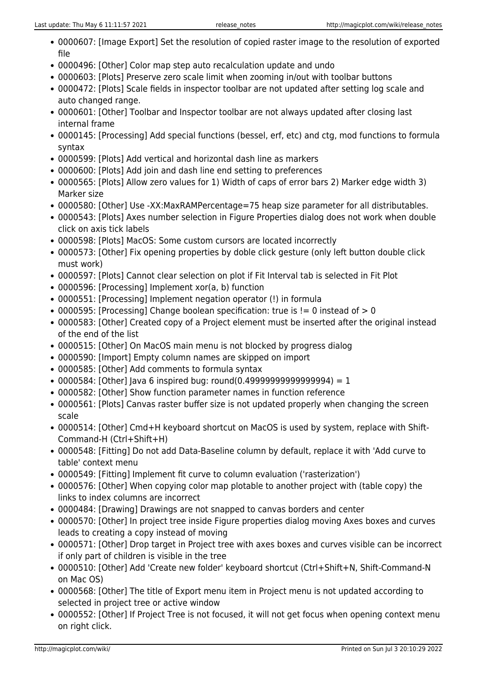- 0000607: [Image Export] Set the resolution of copied raster image to the resolution of exported file
- 0000496: [Other] Color map step auto recalculation update and undo
- 0000603: [Plots] Preserve zero scale limit when zooming in/out with toolbar buttons
- 0000472: [Plots] Scale fields in inspector toolbar are not updated after setting log scale and auto changed range.
- 0000601: [Other] Toolbar and Inspector toolbar are not always updated after closing last internal frame
- 0000145: [Processing] Add special functions (bessel, erf, etc) and ctg, mod functions to formula syntax
- 0000599: [Plots] Add vertical and horizontal dash line as markers
- 0000600: [Plots] Add join and dash line end setting to preferences
- 0000565: [Plots] Allow zero values for 1) Width of caps of error bars 2) Marker edge width 3) Marker size
- 0000580: [Other] Use -XX:MaxRAMPercentage=75 heap size parameter for all distributables.
- 0000543: [Plots] Axes number selection in Figure Properties dialog does not work when double click on axis tick labels
- 0000598: [Plots] MacOS: Some custom cursors are located incorrectly
- 0000573: [Other] Fix opening properties by doble click gesture (only left button double click must work)
- 0000597: [Plots] Cannot clear selection on plot if Fit Interval tab is selected in Fit Plot
- 0000596: [Processing] Implement xor(a, b) function
- 0000551: [Processing] Implement negation operator (!) in formula
- $\bullet$  0000595: [Processing] Change boolean specification: true is != 0 instead of > 0
- 0000583: [Other] Created copy of a Project element must be inserted after the original instead of the end of the list
- 0000515: [Other] On MacOS main menu is not blocked by progress dialog
- 0000590: [Import] Empty column names are skipped on import
- 0000585: [Other] Add comments to formula syntax
- $\bullet$  0000584: [Other] Java 6 inspired bug: round(0.4999999999999999999999 = 1
- 0000582: [Other] Show function parameter names in function reference
- 0000561: [Plots] Canvas raster buffer size is not updated properly when changing the screen scale
- 0000514: [Other] Cmd+H keyboard shortcut on MacOS is used by system, replace with Shift-Command-H (Ctrl+Shift+H)
- 0000548: [Fitting] Do not add Data-Baseline column by default, replace it with 'Add curve to table' context menu
- 0000549: [Fitting] Implement fit curve to column evaluation ('rasterization')
- 0000576: [Other] When copying color map plotable to another project with (table copy) the links to index columns are incorrect
- 0000484: [Drawing] Drawings are not snapped to canvas borders and center
- 0000570: [Other] In project tree inside Figure properties dialog moving Axes boxes and curves leads to creating a copy instead of moving
- 0000571: [Other] Drop target in Project tree with axes boxes and curves visible can be incorrect if only part of children is visible in the tree
- 0000510: [Other] Add 'Create new folder' keyboard shortcut (Ctrl+Shift+N, Shift-Command-N on Mac OS)
- 0000568: [Other] The title of Export menu item in Project menu is not updated according to selected in project tree or active window
- 0000552: [Other] If Project Tree is not focused, it will not get focus when opening context menu on right click.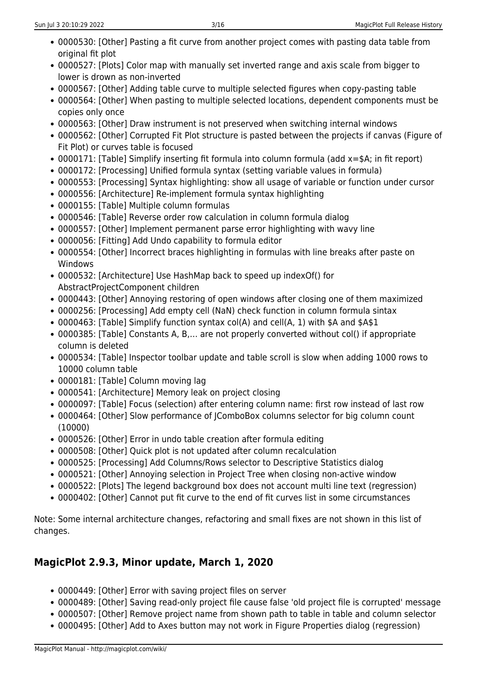- 0000530: [Other] Pasting a fit curve from another project comes with pasting data table from original fit plot
- 0000527: [Plots] Color map with manually set inverted range and axis scale from bigger to lower is drown as non-inverted
- 0000567: [Other] Adding table curve to multiple selected figures when copy-pasting table
- 0000564: [Other] When pasting to multiple selected locations, dependent components must be copies only once
- 0000563: [Other] Draw instrument is not preserved when switching internal windows
- 0000562: [Other] Corrupted Fit Plot structure is pasted between the projects if canvas (Figure of Fit Plot) or curves table is focused
- 0000171: [Table] Simplify inserting fit formula into column formula (add x=\$A; in fit report)
- 0000172: [Processing] Unified formula syntax (setting variable values in formula)
- 0000553: [Processing] Syntax highlighting: show all usage of variable or function under cursor
- 0000556: [Architecture] Re-implement formula syntax highlighting
- 0000155: [Table] Multiple column formulas
- 0000546: [Table] Reverse order row calculation in column formula dialog
- 0000557: [Other] Implement permanent parse error highlighting with wavy line
- 0000056: [Fitting] Add Undo capability to formula editor
- 0000554: [Other] Incorrect braces highlighting in formulas with line breaks after paste on Windows
- 0000532: [Architecture] Use HashMap back to speed up indexOf() for AbstractProjectComponent children
- 0000443: [Other] Annoying restoring of open windows after closing one of them maximized
- 0000256: [Processing] Add empty cell (NaN) check function in column formula sintax
- 0000463: [Table] Simplify function syntax col(A) and cell(A, 1) with \$A and \$A\$1
- 0000385: [Table] Constants A, B,… are not properly converted without col() if appropriate column is deleted
- 0000534: [Table] Inspector toolbar update and table scroll is slow when adding 1000 rows to 10000 column table
- 0000181: [Table] Column moving lag
- 0000541: [Architecture] Memory leak on project closing
- 0000097: [Table] Focus (selection) after entering column name: first row instead of last row
- 0000464: [Other] Slow performance of JComboBox columns selector for big column count (10000)
- 0000526: [Other] Error in undo table creation after formula editing
- 0000508: [Other] Quick plot is not updated after column recalculation
- 0000525: [Processing] Add Columns/Rows selector to Descriptive Statistics dialog
- 0000521: [Other] Annoying selection in Project Tree when closing non-active window
- 0000522: [Plots] The legend background box does not account multi line text (regression)
- 0000402: [Other] Cannot put fit curve to the end of fit curves list in some circumstances

Note: Some internal architecture changes, refactoring and small fixes are not shown in this list of changes.

# **MagicPlot 2.9.3, Minor update, March 1, 2020**

- 0000449: [Other] Error with saving project files on server
- 0000489: [Other] Saving read-only project file cause false 'old project file is corrupted' message
- 0000507: [Other] Remove project name from shown path to table in table and column selector
- 0000495: [Other] Add to Axes button may not work in Figure Properties dialog (regression)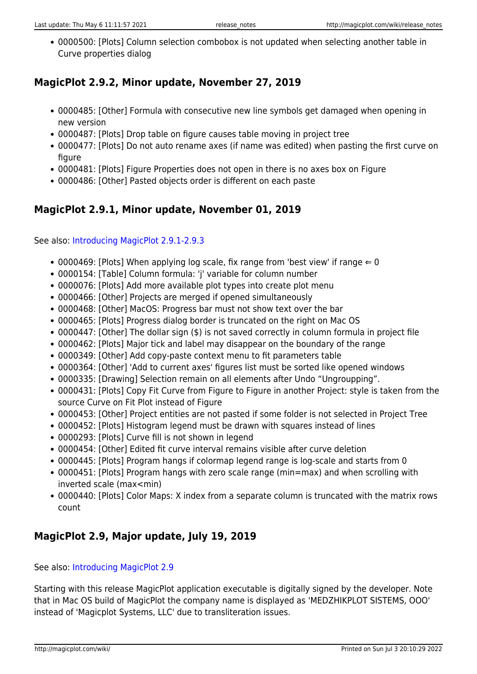0000500: [Plots] Column selection combobox is not updated when selecting another table in Curve properties dialog

# **MagicPlot 2.9.2, Minor update, November 27, 2019**

- 0000485: [Other] Formula with consecutive new line symbols get damaged when opening in new version
- 0000487: [Plots] Drop table on figure causes table moving in project tree
- 0000477: [Plots] Do not auto rename axes (if name was edited) when pasting the first curve on figure
- 0000481: [Plots] Figure Properties does not open in there is no axes box on Figure
- 0000486: [Other] Pasted objects order is different on each paste

# **MagicPlot 2.9.1, Minor update, November 01, 2019**

See also: [Introducing MagicPlot 2.9.1-2.9.3](http://magicplot.com/wiki/relnotes:notes291)

- 0000469: [Plots] When applying log scale, fix range from 'best view' if range  $\Leftarrow$  0
- 0000154: [Table] Column formula: 'j' variable for column number
- 0000076: [Plots] Add more available plot types into create plot menu
- 0000466: [Other] Projects are merged if opened simultaneously
- 0000468: [Other] MacOS: Progress bar must not show text over the bar
- 0000465: [Plots] Progress dialog border is truncated on the right on Mac OS
- 0000447: [Other] The dollar sign (\$) is not saved correctly in column formula in project file
- 0000462: [Plots] Major tick and label may disappear on the boundary of the range
- 0000349: [Other] Add copy-paste context menu to fit parameters table
- 0000364: [Other] 'Add to current axes' figures list must be sorted like opened windows
- 0000335: [Drawing] Selection remain on all elements after Undo "Ungroupping".
- 0000431: [Plots] Copy Fit Curve from Figure to Figure in another Project: style is taken from the source Curve on Fit Plot instead of Figure
- 0000453: [Other] Project entities are not pasted if some folder is not selected in Project Tree
- 0000452: [Plots] Histogram legend must be drawn with squares instead of lines
- 0000293: [Plots] Curve fill is not shown in legend
- 0000454: [Other] Edited fit curve interval remains visible after curve deletion
- 0000445: [Plots] Program hangs if colormap legend range is log-scale and starts from 0
- 0000451: [Plots] Program hangs with zero scale range (min=max) and when scrolling with inverted scale (max<min)
- 0000440: [Plots] Color Maps: X index from a separate column is truncated with the matrix rows count

# **MagicPlot 2.9, Major update, July 19, 2019**

#### See also: [Introducing MagicPlot 2.9](http://magicplot.com/wiki/relnotes:notes29)

Starting with this release MagicPlot application executable is digitally signed by the developer. Note that in Mac OS build of MagicPlot the company name is displayed as 'MEDZHIKPLOT SISTEMS, OOO' instead of 'Magicplot Systems, LLC' due to transliteration issues.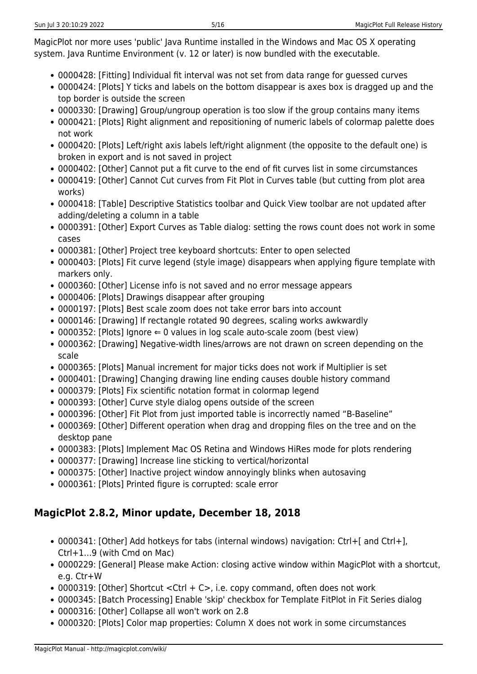MagicPlot nor more uses 'public' Java Runtime installed in the Windows and Mac OS X operating system. Java Runtime Environment (v. 12 or later) is now bundled with the executable.

- 0000428: [Fitting] Individual fit interval was not set from data range for guessed curves
- 0000424: [Plots] Y ticks and labels on the bottom disappear is axes box is dragged up and the top border is outside the screen
- 0000330: [Drawing] Group/ungroup operation is too slow if the group contains many items
- 0000421: [Plots] Right alignment and repositioning of numeric labels of colormap palette does not work
- 0000420: [Plots] Left/right axis labels left/right alignment (the opposite to the default one) is broken in export and is not saved in project
- 0000402: [Other] Cannot put a fit curve to the end of fit curves list in some circumstances
- 0000419: [Other] Cannot Cut curves from Fit Plot in Curves table (but cutting from plot area works)
- 0000418: [Table] Descriptive Statistics toolbar and Quick View toolbar are not updated after adding/deleting a column in a table
- 0000391: [Other] Export Curves as Table dialog: setting the rows count does not work in some cases
- 0000381: [Other] Project tree keyboard shortcuts: Enter to open selected
- 0000403: [Plots] Fit curve legend (style image) disappears when applying figure template with markers only.
- 0000360: [Other] License info is not saved and no error message appears
- 0000406: [Plots] Drawings disappear after grouping
- 0000197: [Plots] Best scale zoom does not take error bars into account
- 0000146: [Drawing] If rectangle rotated 90 degrees, scaling works awkwardly
- $\bullet$  0000352: [Plots] Ignore  $\Leftarrow$  0 values in log scale auto-scale zoom (best view)
- 0000362: [Drawing] Negative-width lines/arrows are not drawn on screen depending on the scale
- 0000365: [Plots] Manual increment for major ticks does not work if Multiplier is set
- 0000401: [Drawing] Changing drawing line ending causes double history command
- 0000379: [Plots] Fix scientific notation format in colormap legend
- 0000393: [Other] Curve style dialog opens outside of the screen
- 0000396: [Other] Fit Plot from just imported table is incorrectly named "B-Baseline"
- 0000369: [Other] Different operation when drag and dropping files on the tree and on the desktop pane
- 0000383: [Plots] Implement Mac OS Retina and Windows HiRes mode for plots rendering
- 0000377: [Drawing] Increase line sticking to vertical/horizontal
- 0000375: [Other] Inactive project window annoyingly blinks when autosaving
- 0000361: [Plots] Printed figure is corrupted: scale error

# **MagicPlot 2.8.2, Minor update, December 18, 2018**

- 0000341: [Other] Add hotkeys for tabs (internal windows) navigation: Ctrl+[ and Ctrl+], Ctrl+1…9 (with Cmd on Mac)
- 0000229: [General] Please make Action: closing active window within MagicPlot with a shortcut, e.g. Ctr+W
- 0000319: [Other] Shortcut <Ctrl + C>, i.e. copy command, often does not work
- 0000345: [Batch Processing] Enable 'skip' checkbox for Template FitPlot in Fit Series dialog
- 0000316: [Other] Collapse all won't work on 2.8
- 0000320: [Plots] Color map properties: Column X does not work in some circumstances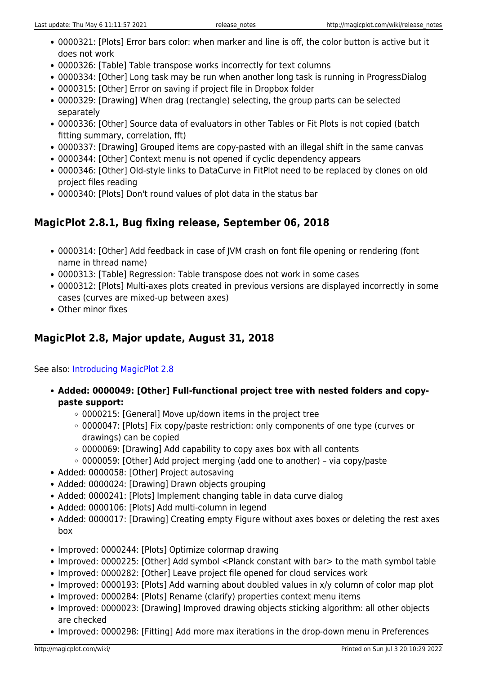- 0000321: [Plots] Error bars color: when marker and line is off, the color button is active but it does not work
- 0000326: [Table] Table transpose works incorrectly for text columns
- 0000334: [Other] Long task may be run when another long task is running in ProgressDialog
- 0000315: [Other] Error on saving if project file in Dropbox folder
- 0000329: [Drawing] When drag (rectangle) selecting, the group parts can be selected separately
- 0000336: [Other] Source data of evaluators in other Tables or Fit Plots is not copied (batch fitting summary, correlation, fft)
- 0000337: [Drawing] Grouped items are copy-pasted with an illegal shift in the same canvas
- 0000344: [Other] Context menu is not opened if cyclic dependency appears
- 0000346: [Other] Old-style links to DataCurve in FitPlot need to be replaced by clones on old project files reading
- 0000340: [Plots] Don't round values of plot data in the status bar

# **MagicPlot 2.8.1, Bug fixing release, September 06, 2018**

- 0000314: [Other] Add feedback in case of JVM crash on font file opening or rendering (font name in thread name)
- 0000313: [Table] Regression: Table transpose does not work in some cases
- 0000312: [Plots] Multi-axes plots created in previous versions are displayed incorrectly in some cases (curves are mixed-up between axes)
- Other minor fixes

# **MagicPlot 2.8, Major update, August 31, 2018**

See also: [Introducing MagicPlot 2.8](http://magicplot.com/wiki/relnotes:notes28)

- **Added: 0000049: [Other] Full-functional project tree with nested folders and copypaste support:**
	- 0000215: [General] Move up/down items in the project tree
	- 0000047: [Plots] Fix copy/paste restriction: only components of one type (curves or drawings) can be copied
	- o 0000069: [Drawing] Add capability to copy axes box with all contents
	- $\circ$  0000059: [Other] Add project merging (add one to another) via copy/paste
- Added: 0000058: [Other] Project autosaving
- Added: 0000024: [Drawing] Drawn objects grouping
- Added: 0000241: [Plots] Implement changing table in data curve dialog
- Added: 0000106: [Plots] Add multi-column in legend
- Added: 0000017: [Drawing] Creating empty Figure without axes boxes or deleting the rest axes box
- Improved: 0000244: [Plots] Optimize colormap drawing
- Improved: 0000225: [Other] Add symbol <Planck constant with bar> to the math symbol table
- Improved: 0000282: [Other] Leave project file opened for cloud services work
- Improved: 0000193: [Plots] Add warning about doubled values in x/y column of color map plot
- Improved: 0000284: [Plots] Rename (clarify) properties context menu items
- Improved: 0000023: [Drawing] Improved drawing objects sticking algorithm: all other objects are checked
- Improved: 0000298: [Fitting] Add more max iterations in the drop-down menu in Preferences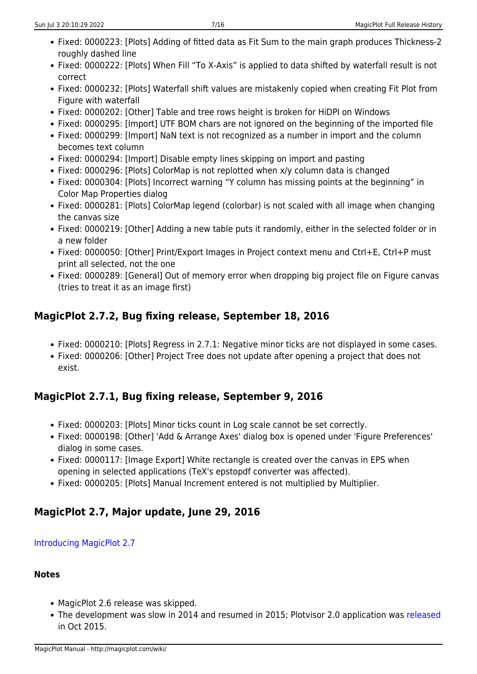- Fixed: 0000223: [Plots] Adding of fitted data as Fit Sum to the main graph produces Thickness-2 roughly dashed line
- Fixed: 0000222: [Plots] When Fill "To X-Axis" is applied to data shifted by waterfall result is not correct
- Fixed: 0000232: [Plots] Waterfall shift values are mistakenly copied when creating Fit Plot from Figure with waterfall
- Fixed: 0000202: [Other] Table and tree rows height is broken for HiDPI on Windows
- Fixed: 0000295: [Import] UTF BOM chars are not ignored on the beginning of the imported file
- Fixed: 0000299: [Import] NaN text is not recognized as a number in import and the column becomes text column
- Fixed: 0000294: [Import] Disable empty lines skipping on import and pasting
- Fixed: 0000296: [Plots] ColorMap is not replotted when x/y column data is changed
- Fixed: 0000304: [Plots] Incorrect warning "Y column has missing points at the beginning" in Color Map Properties dialog
- Fixed: 0000281: [Plots] ColorMap legend (colorbar) is not scaled with all image when changing the canvas size
- Fixed: 0000219: [Other] Adding a new table puts it randomly, either in the selected folder or in a new folder
- Fixed: 0000050: [Other] Print/Export Images in Project context menu and Ctrl+E, Ctrl+P must print all selected, not the one
- Fixed: 0000289: [General] Out of memory error when dropping big project file on Figure canvas (tries to treat it as an image first)

# **MagicPlot 2.7.2, Bug fixing release, September 18, 2016**

- Fixed: 0000210: [Plots] Regress in 2.7.1: Negative minor ticks are not displayed in some cases.
- Fixed: 0000206: [Other] Project Tree does not update after opening a project that does not exist.

# **MagicPlot 2.7.1, Bug fixing release, September 9, 2016**

- Fixed: 0000203: [Plots] Minor ticks count in Log scale cannot be set correctly.
- Fixed: 0000198: [Other] 'Add & Arrange Axes' dialog box is opened under 'Figure Preferences' dialog in some cases.
- Fixed: 0000117: [Image Export] White rectangle is created over the canvas in EPS when opening in selected applications (TeX's epstopdf converter was affected).
- Fixed: 0000205: [Plots] Manual Increment entered is not multiplied by Multiplier.

# **MagicPlot 2.7, Major update, June 29, 2016**

# [Introducing MagicPlot 2.7](http://magicplot.com/wiki/relnotes:notes27)

# **Notes**

- MagicPlot 2.6 release was skipped.
- The development was slow in 2014 and resumed in 2015; Plotvisor 2.0 application was [released](http://magicplot.com/wiki/plotvisor:release_notes) in Oct 2015.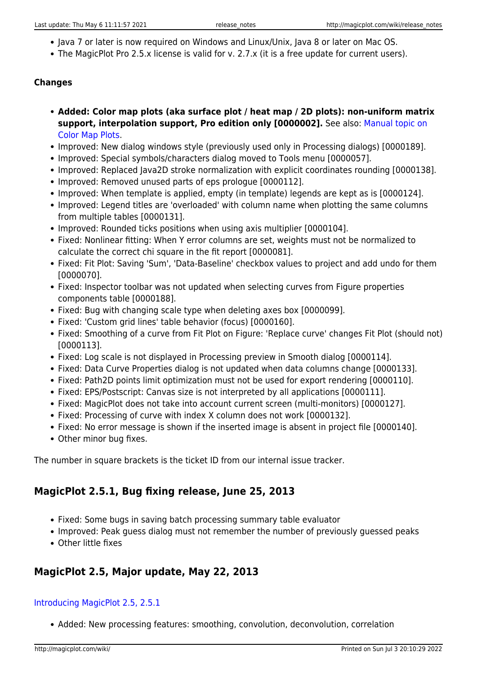- lava 7 or later is now required on Windows and Linux/Unix, Java 8 or later on Mac OS.
- The MagicPlot Pro 2.5.x license is valid for v. 2.7.x (it is a free update for current users).

#### **Changes**

- **Added: Color map plots (aka surface plot / heat map / 2D plots): non-uniform matrix support, interpolation support, Pro edition only [0000002].** See also: [Manual topic on](http://magicplot.com/wiki/colormap) [Color Map Plots](http://magicplot.com/wiki/colormap).
- Improved: New dialog windows style (previously used only in Processing dialogs) [0000189].
- Improved: Special symbols/characters dialog moved to Tools menu [0000057].
- Improved: Replaced Java2D stroke normalization with explicit coordinates rounding [0000138].
- Improved: Removed unused parts of eps prologue [0000112].
- Improved: When template is applied, empty (in template) legends are kept as is [0000124].
- Improved: Legend titles are 'overloaded' with column name when plotting the same columns from multiple tables [0000131].
- Improved: Rounded ticks positions when using axis multiplier [0000104].
- Fixed: Nonlinear fitting: When Y error columns are set, weights must not be normalized to calculate the correct chi square in the fit report [0000081].
- Fixed: Fit Plot: Saving 'Sum', 'Data-Baseline' checkbox values to project and add undo for them [0000070].
- Fixed: Inspector toolbar was not updated when selecting curves from Figure properties components table [0000188].
- Fixed: Bug with changing scale type when deleting axes box [0000099].
- Fixed: 'Custom grid lines' table behavior (focus) [0000160].
- Fixed: Smoothing of a curve from Fit Plot on Figure: 'Replace curve' changes Fit Plot (should not) [0000113].
- Fixed: Log scale is not displayed in Processing preview in Smooth dialog [0000114].
- Fixed: Data Curve Properties dialog is not updated when data columns change [0000133].
- Fixed: Path2D points limit optimization must not be used for export rendering [0000110].
- Fixed: EPS/Postscript: Canvas size is not interpreted by all applications [0000111].
- Fixed: MagicPlot does not take into account current screen (multi-monitors) [0000127].
- Fixed: Processing of curve with index X column does not work [0000132].
- Fixed: No error message is shown if the inserted image is absent in project file [0000140].
- Other minor bug fixes.

The number in square brackets is the ticket ID from our internal issue tracker.

# **MagicPlot 2.5.1, Bug fixing release, June 25, 2013**

- Fixed: Some bugs in saving batch processing summary table evaluator
- Improved: Peak guess dialog must not remember the number of previously guessed peaks
- Other little fixes

# **MagicPlot 2.5, Major update, May 22, 2013**

#### [Introducing MagicPlot 2.5, 2.5.1](http://magicplot.com/wiki/relnotes:notes25)

Added: New processing features: smoothing, convolution, deconvolution, correlation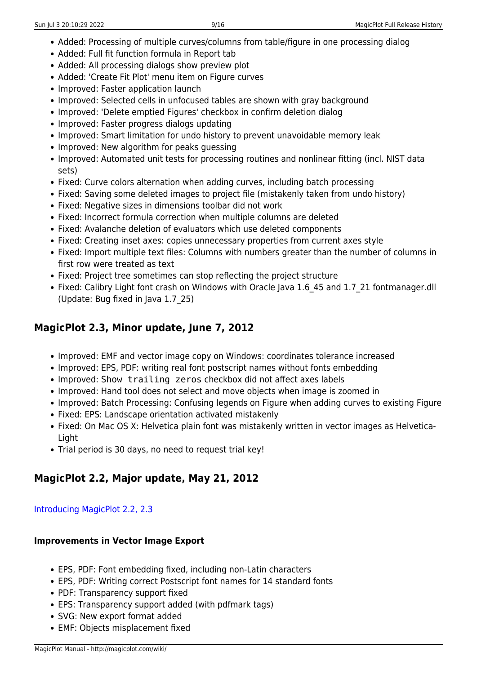- Added: Processing of multiple curves/columns from table/figure in one processing dialog
- Added: Full fit function formula in Report tab
- Added: All processing dialogs show preview plot
- Added: 'Create Fit Plot' menu item on Figure curves
- Improved: Faster application launch
- Improved: Selected cells in unfocused tables are shown with gray background
- Improved: 'Delete emptied Figures' checkbox in confirm deletion dialog
- Improved: Faster progress dialogs updating
- Improved: Smart limitation for undo history to prevent unavoidable memory leak
- Improved: New algorithm for peaks quessing
- Improved: Automated unit tests for processing routines and nonlinear fitting (incl. NIST data sets)
- Fixed: Curve colors alternation when adding curves, including batch processing
- Fixed: Saving some deleted images to project file (mistakenly taken from undo history)
- Fixed: Negative sizes in dimensions toolbar did not work
- Fixed: Incorrect formula correction when multiple columns are deleted
- Fixed: Avalanche deletion of evaluators which use deleted components
- Fixed: Creating inset axes: copies unnecessary properties from current axes style
- Fixed: Import multiple text files: Columns with numbers greater than the number of columns in first row were treated as text
- Fixed: Project tree sometimes can stop reflecting the project structure
- Fixed: Calibry Light font crash on Windows with Oracle Java 1.6 45 and 1.7 21 fontmanager.dll (Update: Bug fixed in Java 1.7\_25)

# **MagicPlot 2.3, Minor update, June 7, 2012**

- Improved: EMF and vector image copy on Windows: coordinates tolerance increased
- Improved: EPS, PDF: writing real font postscript names without fonts embedding
- Improved: Show trailing zeros checkbox did not affect axes labels
- Improved: Hand tool does not select and move objects when image is zoomed in
- Improved: Batch Processing: Confusing legends on Figure when adding curves to existing Figure
- Fixed: EPS: Landscape orientation activated mistakenly
- Fixed: On Mac OS X: Helvetica plain font was mistakenly written in vector images as Helvetica-Light
- Trial period is 30 days, no need to request trial key!

# **MagicPlot 2.2, Major update, May 21, 2012**

#### [Introducing MagicPlot 2.2, 2.3](http://magicplot.com/wiki/relnotes:notes22)

#### **Improvements in Vector Image Export**

- EPS, PDF: Font embedding fixed, including non-Latin characters
- EPS, PDF: Writing correct Postscript font names for 14 standard fonts
- PDF: Transparency support fixed
- EPS: Transparency support added (with pdfmark tags)
- SVG: New export format added
- EMF: Objects misplacement fixed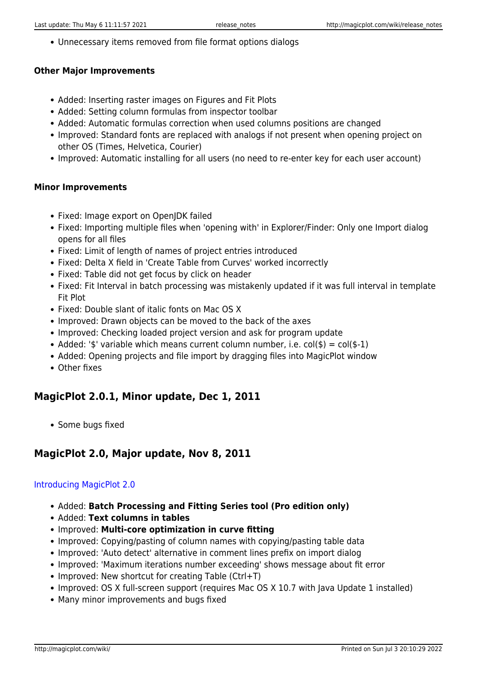Unnecessary items removed from file format options dialogs

#### **Other Major Improvements**

- Added: Inserting raster images on Figures and Fit Plots
- Added: Setting column formulas from inspector toolbar
- Added: Automatic formulas correction when used columns positions are changed
- Improved: Standard fonts are replaced with analogs if not present when opening project on other OS (Times, Helvetica, Courier)
- Improved: Automatic installing for all users (no need to re-enter key for each user account)

#### **Minor Improvements**

- Fixed: Image export on OpenJDK failed
- Fixed: Importing multiple files when 'opening with' in Explorer/Finder: Only one Import dialog opens for all files
- Fixed: Limit of length of names of project entries introduced
- Fixed: Delta X field in 'Create Table from Curves' worked incorrectly
- Fixed: Table did not get focus by click on header
- Fixed: Fit Interval in batch processing was mistakenly updated if it was full interval in template Fit Plot
- Fixed: Double slant of italic fonts on Mac OS X
- Improved: Drawn objects can be moved to the back of the axes
- Improved: Checking loaded project version and ask for program update
- Added: '\$' variable which means current column number, i.e. col(\$) = col(\$-1)
- Added: Opening projects and file import by dragging files into MagicPlot window
- Other fixes

### **MagicPlot 2.0.1, Minor update, Dec 1, 2011**

• Some bugs fixed

### **MagicPlot 2.0, Major update, Nov 8, 2011**

#### [Introducing MagicPlot 2.0](http://magicplot.com/wiki/relnotes:notes20)

- Added: **Batch Processing and Fitting Series tool (Pro edition only)**
- Added: **Text columns in tables**
- **Improved: Multi-core optimization in curve fitting**
- Improved: Copying/pasting of column names with copying/pasting table data
- Improved: 'Auto detect' alternative in comment lines prefix on import dialog
- Improved: 'Maximum iterations number exceeding' shows message about fit error
- Improved: New shortcut for creating Table (Ctrl+T)
- Improved: OS X full-screen support (requires Mac OS X 10.7 with Java Update 1 installed)
- Many minor improvements and bugs fixed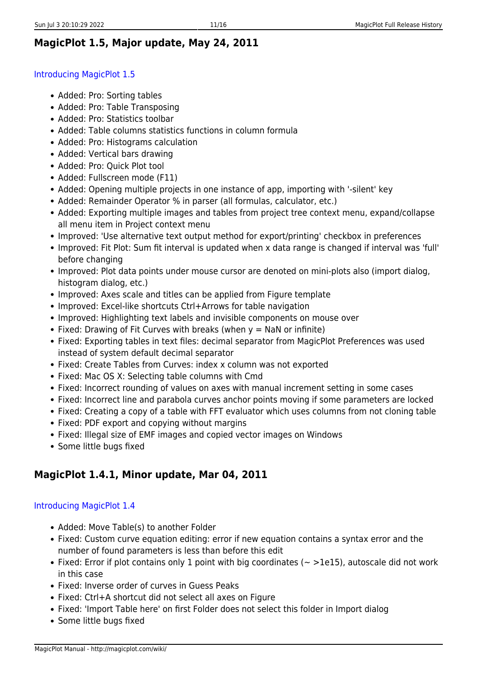### **MagicPlot 1.5, Major update, May 24, 2011**

#### [Introducing MagicPlot 1.5](http://magicplot.com/wiki/relnotes:notes15)

- Added: Pro: Sorting tables
- Added: Pro: Table Transposing
- Added: Pro: Statistics toolbar
- Added: Table columns statistics functions in column formula
- Added: Pro: Histograms calculation
- Added: Vertical bars drawing
- Added: Pro: Ouick Plot tool
- Added: Fullscreen mode (F11)
- Added: Opening multiple projects in one instance of app, importing with '-silent' key
- Added: Remainder Operator % in parser (all formulas, calculator, etc.)
- Added: Exporting multiple images and tables from project tree context menu, expand/collapse all menu item in Project context menu
- Improved: 'Use alternative text output method for export/printing' checkbox in preferences
- Improved: Fit Plot: Sum fit interval is updated when x data range is changed if interval was 'full' before changing
- Improved: Plot data points under mouse cursor are denoted on mini-plots also (import dialog, histogram dialog, etc.)
- Improved: Axes scale and titles can be applied from Figure template
- Improved: Excel-like shortcuts Ctrl+Arrows for table navigation
- Improved: Highlighting text labels and invisible components on mouse over
- Fixed: Drawing of Fit Curves with breaks (when  $y =$  NaN or infinite)
- Fixed: Exporting tables in text files: decimal separator from MagicPlot Preferences was used instead of system default decimal separator
- Fixed: Create Tables from Curves: index x column was not exported
- Fixed: Mac OS X: Selecting table columns with Cmd
- Fixed: Incorrect rounding of values on axes with manual increment setting in some cases
- Fixed: Incorrect line and parabola curves anchor points moving if some parameters are locked
- Fixed: Creating a copy of a table with FFT evaluator which uses columns from not cloning table
- Fixed: PDF export and copying without margins
- Fixed: Illegal size of EMF images and copied vector images on Windows
- Some little bugs fixed

# **MagicPlot 1.4.1, Minor update, Mar 04, 2011**

#### [Introducing MagicPlot 1.4](http://magicplot.com/wiki/relnotes:notes14)

- Added: Move Table(s) to another Folder
- Fixed: Custom curve equation editing: error if new equation contains a syntax error and the number of found parameters is less than before this edit
- Fixed: Error if plot contains only 1 point with big coordinates ( $\sim$  >1e15), autoscale did not work in this case
- Fixed: Inverse order of curves in Guess Peaks
- Fixed: Ctrl+A shortcut did not select all axes on Figure
- Fixed: 'Import Table here' on first Folder does not select this folder in Import dialog
- Some little bugs fixed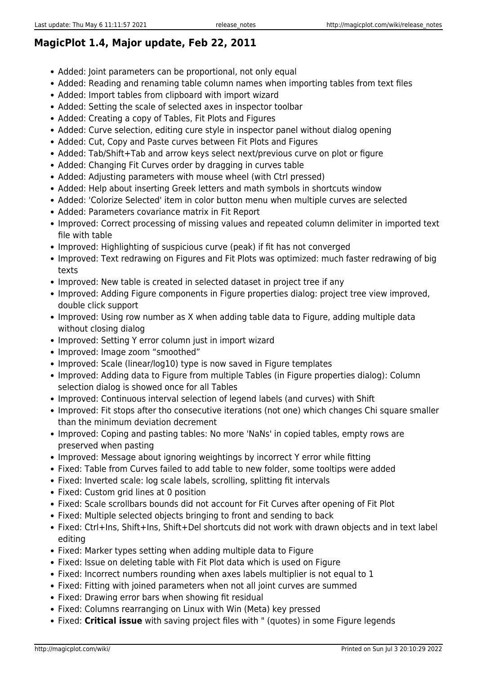# **MagicPlot 1.4, Major update, Feb 22, 2011**

- Added: Joint parameters can be proportional, not only equal
- Added: Reading and renaming table column names when importing tables from text files
- Added: Import tables from clipboard with import wizard
- Added: Setting the scale of selected axes in inspector toolbar
- Added: Creating a copy of Tables, Fit Plots and Figures
- Added: Curve selection, editing cure style in inspector panel without dialog opening
- Added: Cut, Copy and Paste curves between Fit Plots and Figures
- Added: Tab/Shift+Tab and arrow keys select next/previous curve on plot or figure
- Added: Changing Fit Curves order by dragging in curves table
- Added: Adjusting parameters with mouse wheel (with Ctrl pressed)
- Added: Help about inserting Greek letters and math symbols in shortcuts window
- Added: 'Colorize Selected' item in color button menu when multiple curves are selected
- Added: Parameters covariance matrix in Fit Report
- Improved: Correct processing of missing values and repeated column delimiter in imported text file with table
- Improved: Highlighting of suspicious curve (peak) if fit has not converged
- Improved: Text redrawing on Figures and Fit Plots was optimized: much faster redrawing of big texts
- Improved: New table is created in selected dataset in project tree if any
- Improved: Adding Figure components in Figure properties dialog: project tree view improved, double click support
- Improved: Using row number as X when adding table data to Figure, adding multiple data without closing dialog
- Improved: Setting Y error column just in import wizard
- Improved: Image zoom "smoothed"
- Improved: Scale (linear/log10) type is now saved in Figure templates
- Improved: Adding data to Figure from multiple Tables (in Figure properties dialog): Column selection dialog is showed once for all Tables
- Improved: Continuous interval selection of legend labels (and curves) with Shift
- Improved: Fit stops after tho consecutive iterations (not one) which changes Chi square smaller than the minimum deviation decrement
- Improved: Coping and pasting tables: No more 'NaNs' in copied tables, empty rows are preserved when pasting
- Improved: Message about ignoring weightings by incorrect Y error while fitting
- Fixed: Table from Curves failed to add table to new folder, some tooltips were added
- Fixed: Inverted scale: log scale labels, scrolling, splitting fit intervals
- Fixed: Custom grid lines at 0 position
- Fixed: Scale scrollbars bounds did not account for Fit Curves after opening of Fit Plot
- Fixed: Multiple selected objects bringing to front and sending to back
- Fixed: Ctrl+Ins, Shift+Ins, Shift+Del shortcuts did not work with drawn objects and in text label editing
- Fixed: Marker types setting when adding multiple data to Figure
- Fixed: Issue on deleting table with Fit Plot data which is used on Figure
- Fixed: Incorrect numbers rounding when axes labels multiplier is not equal to 1
- Fixed: Fitting with joined parameters when not all joint curves are summed
- Fixed: Drawing error bars when showing fit residual
- Fixed: Columns rearranging on Linux with Win (Meta) key pressed
- Fixed: **Critical issue** with saving project files with " (quotes) in some Figure legends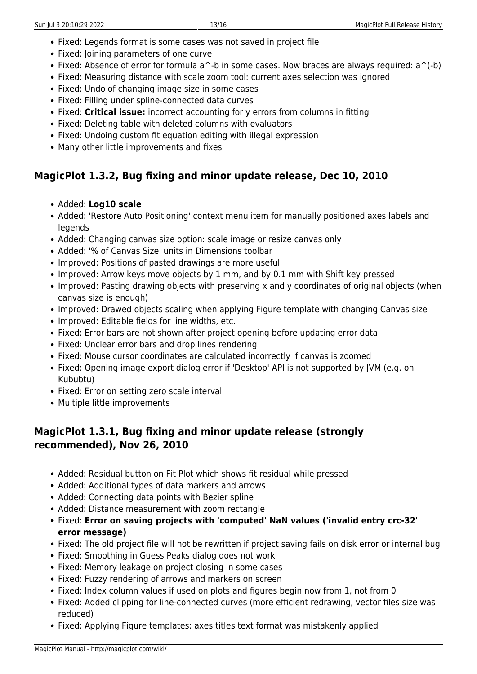- Fixed: Legends format is some cases was not saved in project file
- Fixed: Joining parameters of one curve
- Fixed: Absence of error for formula a<sup> $\sim$ </sup>-b in some cases. Now braces are always required: a $\sim$ (-b)
- Fixed: Measuring distance with scale zoom tool: current axes selection was ignored
- Fixed: Undo of changing image size in some cases
- Fixed: Filling under spline-connected data curves
- Fixed: **Critical issue:** incorrect accounting for y errors from columns in fitting
- Fixed: Deleting table with deleted columns with evaluators
- Fixed: Undoing custom fit equation editing with illegal expression
- Many other little improvements and fixes

### **MagicPlot 1.3.2, Bug fixing and minor update release, Dec 10, 2010**

- Added: **Log10 scale**
- Added: 'Restore Auto Positioning' context menu item for manually positioned axes labels and legends
- Added: Changing canvas size option: scale image or resize canvas only
- Added: '% of Canvas Size' units in Dimensions toolbar
- Improved: Positions of pasted drawings are more useful
- Improved: Arrow keys move objects by 1 mm, and by 0.1 mm with Shift key pressed
- Improved: Pasting drawing objects with preserving x and y coordinates of original objects (when canvas size is enough)
- Improved: Drawed objects scaling when applying Figure template with changing Canvas size
- Improved: Editable fields for line widths, etc.
- Fixed: Error bars are not shown after project opening before updating error data
- Fixed: Unclear error bars and drop lines rendering
- Fixed: Mouse cursor coordinates are calculated incorrectly if canvas is zoomed
- Fixed: Opening image export dialog error if 'Desktop' API is not supported by JVM (e.g. on Kububtu)
- Fixed: Error on setting zero scale interval
- Multiple little improvements

# **MagicPlot 1.3.1, Bug fixing and minor update release (strongly recommended), Nov 26, 2010**

- Added: Residual button on Fit Plot which shows fit residual while pressed
- Added: Additional types of data markers and arrows
- Added: Connecting data points with Bezier spline
- Added: Distance measurement with zoom rectangle
- Fixed: **Error on saving projects with 'computed' NaN values ('invalid entry crc-32' error message)**
- Fixed: The old project file will not be rewritten if project saving fails on disk error or internal bug
- Fixed: Smoothing in Guess Peaks dialog does not work
- Fixed: Memory leakage on project closing in some cases
- Fixed: Fuzzy rendering of arrows and markers on screen
- Fixed: Index column values if used on plots and figures begin now from 1, not from 0
- Fixed: Added clipping for line-connected curves (more efficient redrawing, vector files size was reduced)
- Fixed: Applying Figure templates: axes titles text format was mistakenly applied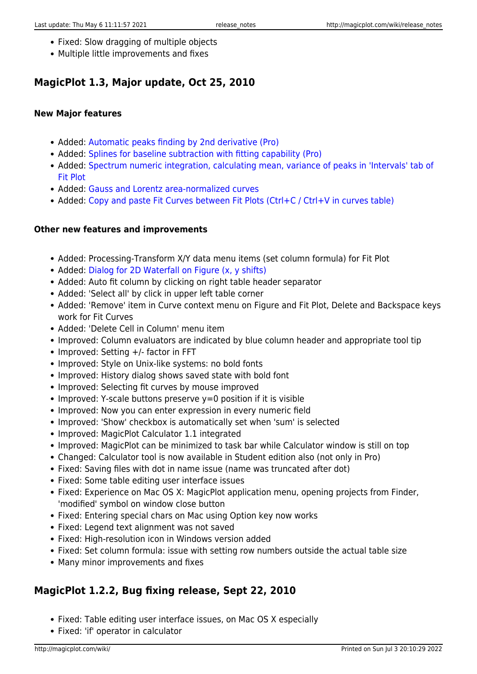- Fixed: Slow dragging of multiple objects
- Multiple little improvements and fixes

# **MagicPlot 1.3, Major update, Oct 25, 2010**

#### **New Major features**

- Added: [Automatic peaks finding by 2nd derivative \(Pro\)](http://magicplot.com/wiki/guess_peaks)
- Added: [Splines for baseline subtraction with fitting capability \(Pro\)](http://magicplot.com/wiki/spline)
- Added: [Spectrum numeric integration, calculating mean, variance of peaks in 'Intervals' tab of](http://magicplot.com/wiki/interval_statistics) [Fit Plot](http://magicplot.com/wiki/interval_statistics)
- Added: [Gauss and Lorentz area-normalized curves](http://magicplot.com/wiki/fit_equations)
- Added: [Copy and paste Fit Curves between Fit Plots \(Ctrl+C / Ctrl+V in curves table\)](http://magicplot.com/wiki/fitting)

#### **Other new features and improvements**

- Added: Processing-Transform X/Y data menu items (set column formula) for Fit Plot
- Added: [Dialog for 2D Waterfall on Figure \(x, y shifts\)](http://magicplot.com/wiki/shift_curves)
- Added: Auto fit column by clicking on right table header separator
- Added: 'Select all' by click in upper left table corner
- Added: 'Remove' item in Curve context menu on Figure and Fit Plot, Delete and Backspace keys work for Fit Curves
- Added: 'Delete Cell in Column' menu item
- Improved: Column evaluators are indicated by blue column header and appropriate tool tip
- $\bullet$  Improved: Setting  $+/-$  factor in FFT
- Improved: Style on Unix-like systems: no bold fonts
- Improved: History dialog shows saved state with bold font
- Improved: Selecting fit curves by mouse improved
- $\bullet$  Improved: Y-scale buttons preserve y=0 position if it is visible
- Improved: Now you can enter expression in every numeric field
- Improved: 'Show' checkbox is automatically set when 'sum' is selected
- Improved: MagicPlot Calculator 1.1 integrated
- Improved: MagicPlot can be minimized to task bar while Calculator window is still on top
- Changed: Calculator tool is now available in Student edition also (not only in Pro)
- Fixed: Saving files with dot in name issue (name was truncated after dot)
- Fixed: Some table editing user interface issues
- Fixed: Experience on Mac OS X: MagicPlot application menu, opening projects from Finder, 'modified' symbol on window close button
- Fixed: Entering special chars on Mac using Option key now works
- Fixed: Legend text alignment was not saved
- Fixed: High-resolution icon in Windows version added
- Fixed: Set column formula: issue with setting row numbers outside the actual table size
- Many minor improvements and fixes

### **MagicPlot 1.2.2, Bug fixing release, Sept 22, 2010**

- Fixed: Table editing user interface issues, on Mac OS X especially
- Fixed: 'if' operator in calculator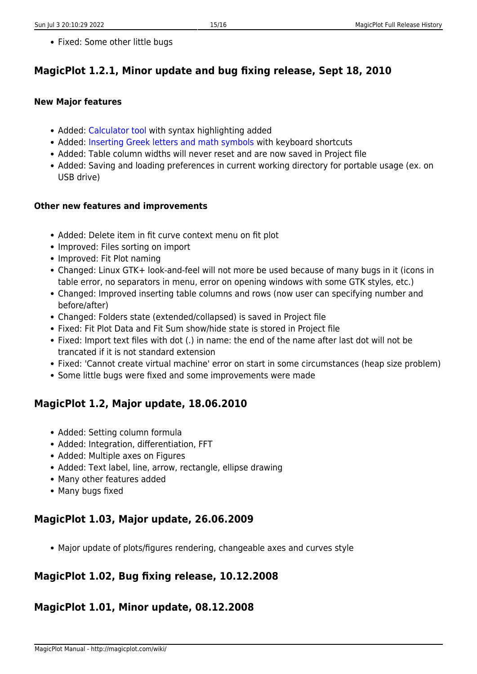• Fixed: Some other little bugs

# **MagicPlot 1.2.1, Minor update and bug fixing release, Sept 18, 2010**

#### **New Major features**

- Added: [Calculator tool](http://magicplot.com/calc/) with syntax highlighting added
- Added: [Inserting Greek letters and math symbols](http://magicplot.com/wiki/special_symbols) with keyboard shortcuts
- Added: Table column widths will never reset and are now saved in Project file
- Added: Saving and loading preferences in current working directory for portable usage (ex. on USB drive)

#### **Other new features and improvements**

- Added: Delete item in fit curve context menu on fit plot
- Improved: Files sorting on import
- Improved: Fit Plot naming
- Changed: Linux GTK+ look-and-feel will not more be used because of many bugs in it (icons in table error, no separators in menu, error on opening windows with some GTK styles, etc.)
- Changed: Improved inserting table columns and rows (now user can specifying number and before/after)
- Changed: Folders state (extended/collapsed) is saved in Project file
- Fixed: Fit Plot Data and Fit Sum show/hide state is stored in Project file
- Fixed: Import text files with dot (.) in name: the end of the name after last dot will not be trancated if it is not standard extension
- Fixed: 'Cannot create virtual machine' error on start in some circumstances (heap size problem)
- Some little bugs were fixed and some improvements were made

### **MagicPlot 1.2, Major update, 18.06.2010**

- Added: Setting column formula
- Added: Integration, differentiation, FFT
- Added: Multiple axes on Figures
- Added: Text label, line, arrow, rectangle, ellipse drawing
- Many other features added
- Many bugs fixed

### **MagicPlot 1.03, Major update, 26.06.2009**

Major update of plots/figures rendering, changeable axes and curves style

# **MagicPlot 1.02, Bug fixing release, 10.12.2008**

### **MagicPlot 1.01, Minor update, 08.12.2008**